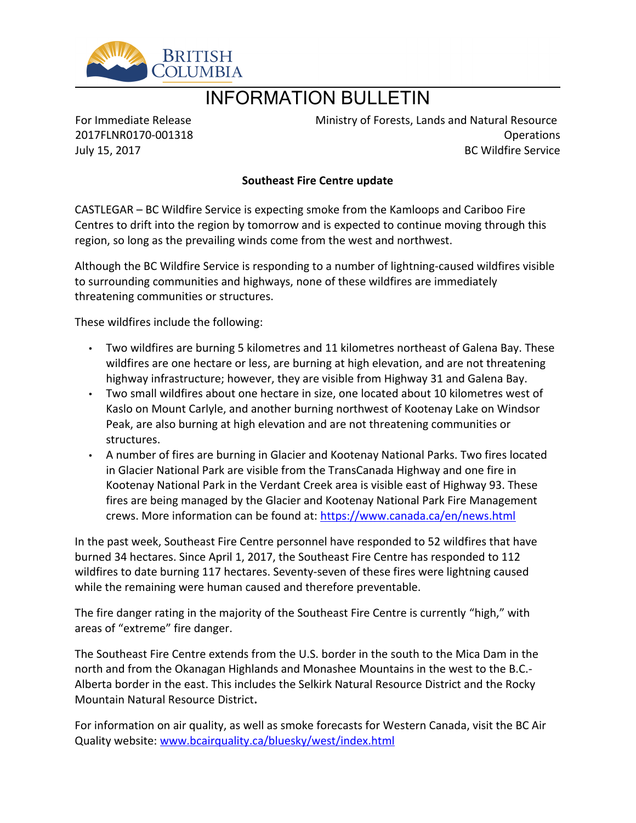

## INFORMATION BULLETIN

For Immediate Release 2017FLNR0170-001318 July 15, 2017

Ministry of Forests, Lands and Natural Resource Operations BC Wildfire Service

## **Southeast Fire Centre update**

CASTLEGAR – BC Wildfire Service is expecting smoke from the Kamloops and Cariboo Fire Centres to drift into the region by tomorrow and is expected to continue moving through this region, so long as the prevailing winds come from the west and northwest.

Although the BC Wildfire Service is responding to a number of lightning-caused wildfires visible to surrounding communities and highways, none of these wildfires are immediately threatening communities or structures.

These wildfires include the following:

- Two wildfires are burning 5 kilometres and 11 kilometres northeast of Galena Bay. These wildfires are one hectare or less, are burning at high elevation, and are not threatening highway infrastructure; however, they are visible from Highway 31 and Galena Bay.
- Two small wildfires about one hectare in size, one located about 10 kilometres west of Kaslo on Mount Carlyle, and another burning northwest of Kootenay Lake on Windsor Peak, are also burning at high elevation and are not threatening communities or structures.
- A number of fires are burning in Glacier and Kootenay National Parks. Two fires located in Glacier National Park are visible from the TransCanada Highway and one fire in Kootenay National Park in the Verdant Creek area is visible east of Highway 93. These fires are being managed by the Glacier and Kootenay National Park Fire Management crews. More information can be found at: <https://www.canada.ca/en/news.html>

In the past week, Southeast Fire Centre personnel have responded to 52 wildfires that have burned 34 hectares. Since April 1, 2017, the Southeast Fire Centre has responded to 112 wildfires to date burning 117 hectares. Seventy-seven of these fires were lightning caused while the remaining were human caused and therefore preventable.

The fire danger rating in the majority of the Southeast Fire Centre is currently "high," with areas of "extreme" fire danger.

The Southeast Fire Centre extends from the U.S. border in the south to the Mica Dam in the north and from the Okanagan Highlands and Monashee Mountains in the west to the B.C.- Alberta border in the east. This includes the Selkirk Natural Resource District and the Rocky Mountain Natural Resource District**.** 

For information on air quality, as well as smoke forecasts for Western Canada, visit the BC Air Quality website: [www.bcairquality.ca/bluesky/west/index.html](http://www.bcairquality.ca/bluesky/west/index.html)